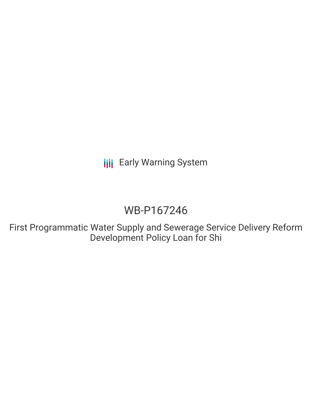**III** Early Warning System

# WB-P167246

First Programmatic Water Supply and Sewerage Service Delivery Reform Development Policy Loan for Shi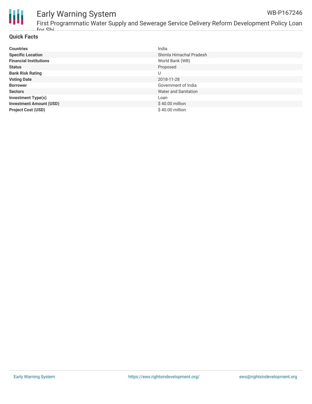

## Early Warning System

First Programmatic Water Supply and Sewerage Service Delivery Reform Development Policy Loan for Shi

## **Quick Facts**

| <b>Countries</b>               | India                   |
|--------------------------------|-------------------------|
| <b>Specific Location</b>       | Shimla Himachal Pradesh |
| <b>Financial Institutions</b>  | World Bank (WB)         |
| <b>Status</b>                  | Proposed                |
| <b>Bank Risk Rating</b>        | U                       |
| <b>Voting Date</b>             | 2018-11-28              |
| <b>Borrower</b>                | Government of India     |
| <b>Sectors</b>                 | Water and Sanitation    |
| <b>Investment Type(s)</b>      | Loan                    |
| <b>Investment Amount (USD)</b> | \$40.00 million         |
| <b>Project Cost (USD)</b>      | \$40.00 million         |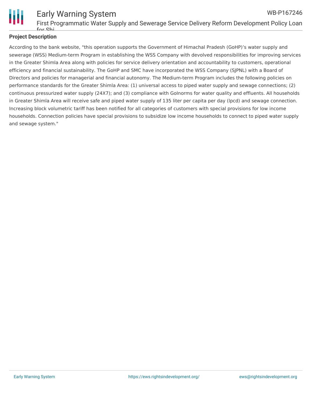

#### Early Warning System First Programmatic Water Supply and Sewerage Service Delivery Reform Development Policy Loan for Shi WB-P167246

## **Project Description**

According to the bank website, "this operation supports the Government of Himachal Pradesh (GoHP)'s water supply and sewerage (WSS) Medium-term Program in establishing the WSS Company with devolved responsibilities for improving services in the Greater Shimla Area along with policies for service delivery orientation and accountability to customers, operational efficiency and financial sustainability. The GoHP and SMC have incorporated the WSS Company (SJPNL) with a Board of Directors and policies for managerial and financial autonomy. The Medium-term Program includes the following policies on performance standards for the Greater Shimla Area: (1) universal access to piped water supply and sewage connections; (2) continuous pressurized water supply (24X7); and (3) compliance with GoInorms for water quality and effluents. All households in Greater Shimla Area will receive safe and piped water supply of 135 liter per capita per day (lpcd) and sewage connection. Increasing block volumetric tariff has been notified for all categories of customers with special provisions for low income households. Connection policies have special provisions to subsidize low income households to connect to piped water supply and sewage system."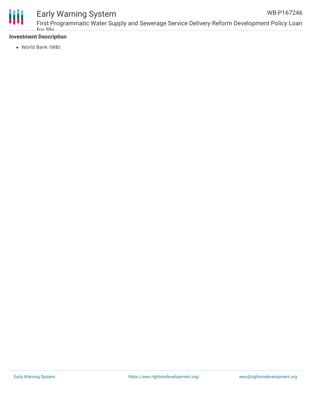

## Early Warning System

## **Investment Description**

World Bank (WB)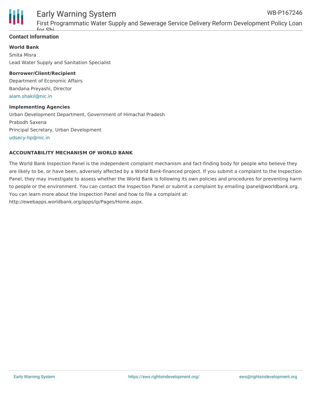

#### Early Warning System First Programmatic Water Supply and Sewerage Service Delivery Reform Development Policy Loan WB-P167246

## **Contact Information**

**World Bank**

Smita Misra Lead Water Supply and Sanitation Specialist

### **Borrower/Client/Recipient**

for Shi

Department of Economic Affairs Bandana Preyashi, Director [alam.shakil@nic.in](mailto:alam.shakil@nic.in)

### **Implementing Agencies**

Urban Development Department, Government of Himachal Pradesh Prabodh Saxena Principal Secretary, Urban Development [udsecy-hp@nic.in](mailto:udsecy-hp@nic.in)

### **ACCOUNTABILITY MECHANISM OF WORLD BANK**

The World Bank Inspection Panel is the independent complaint mechanism and fact-finding body for people who believe they are likely to be, or have been, adversely affected by a World Bank-financed project. If you submit a complaint to the Inspection Panel, they may investigate to assess whether the World Bank is following its own policies and procedures for preventing harm to people or the environment. You can contact the Inspection Panel or submit a complaint by emailing ipanel@worldbank.org. You can learn more about the Inspection Panel and how to file a complaint at: http://ewebapps.worldbank.org/apps/ip/Pages/Home.aspx.